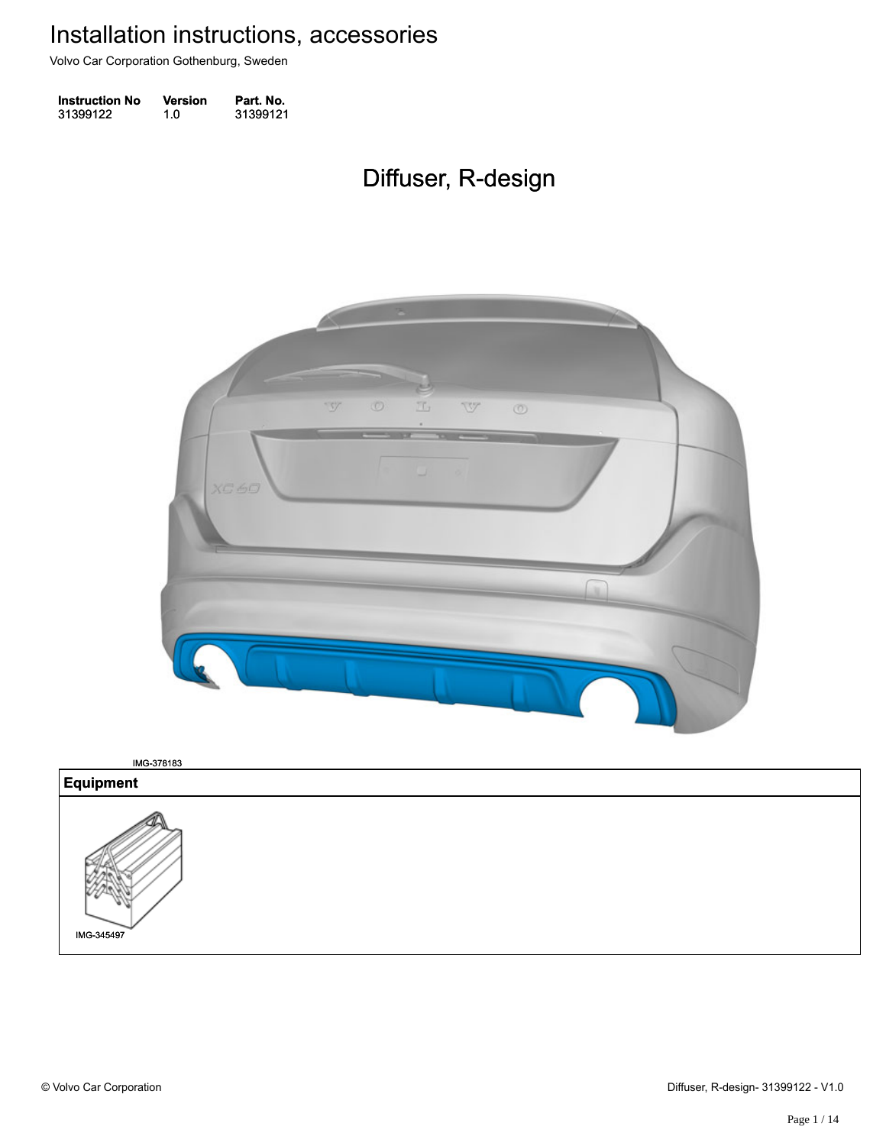Volvo Car Corporation Gothenburg, Sweden

| <b>Instruction No</b> | <b>Version</b> | Part. No. |
|-----------------------|----------------|-----------|
| 31399122              | 1.0            | 31399121  |

## Diffuser, R-design Diffuser, R-design



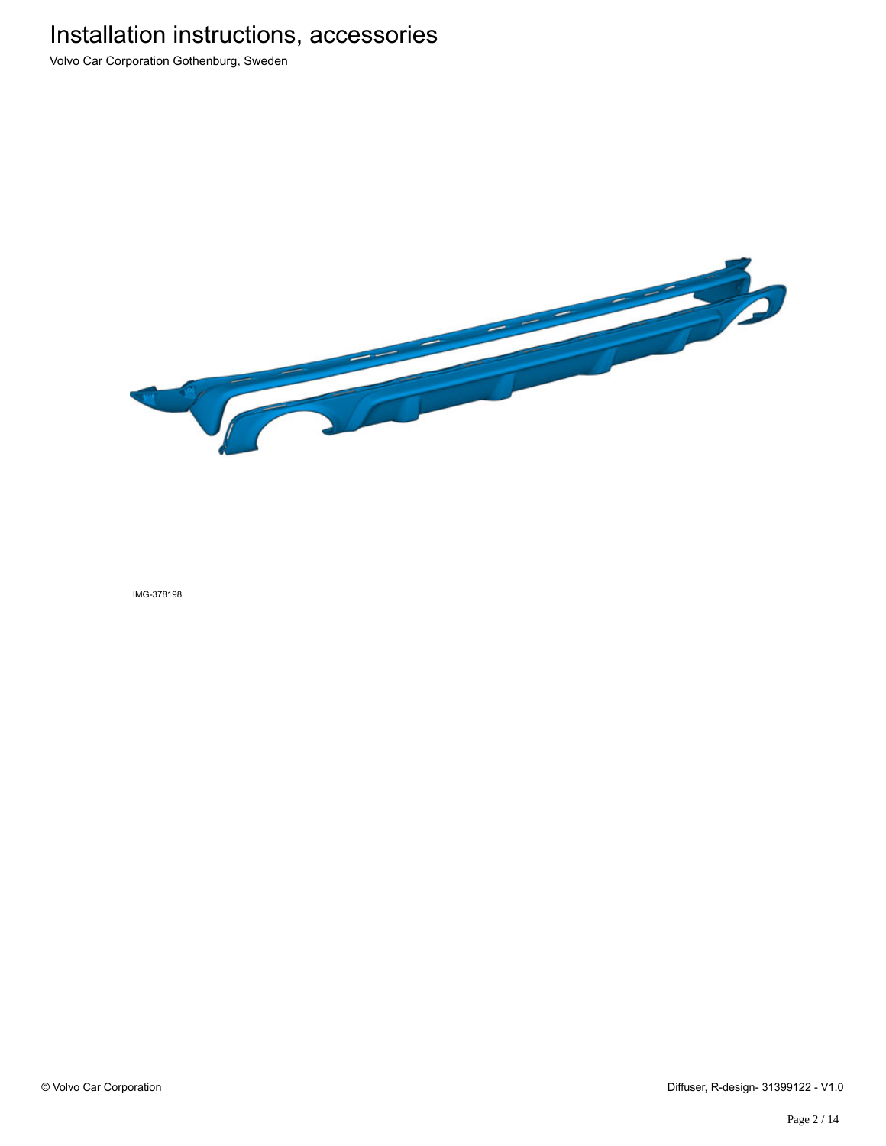Volvo Car Corporation Gothenburg, Sweden

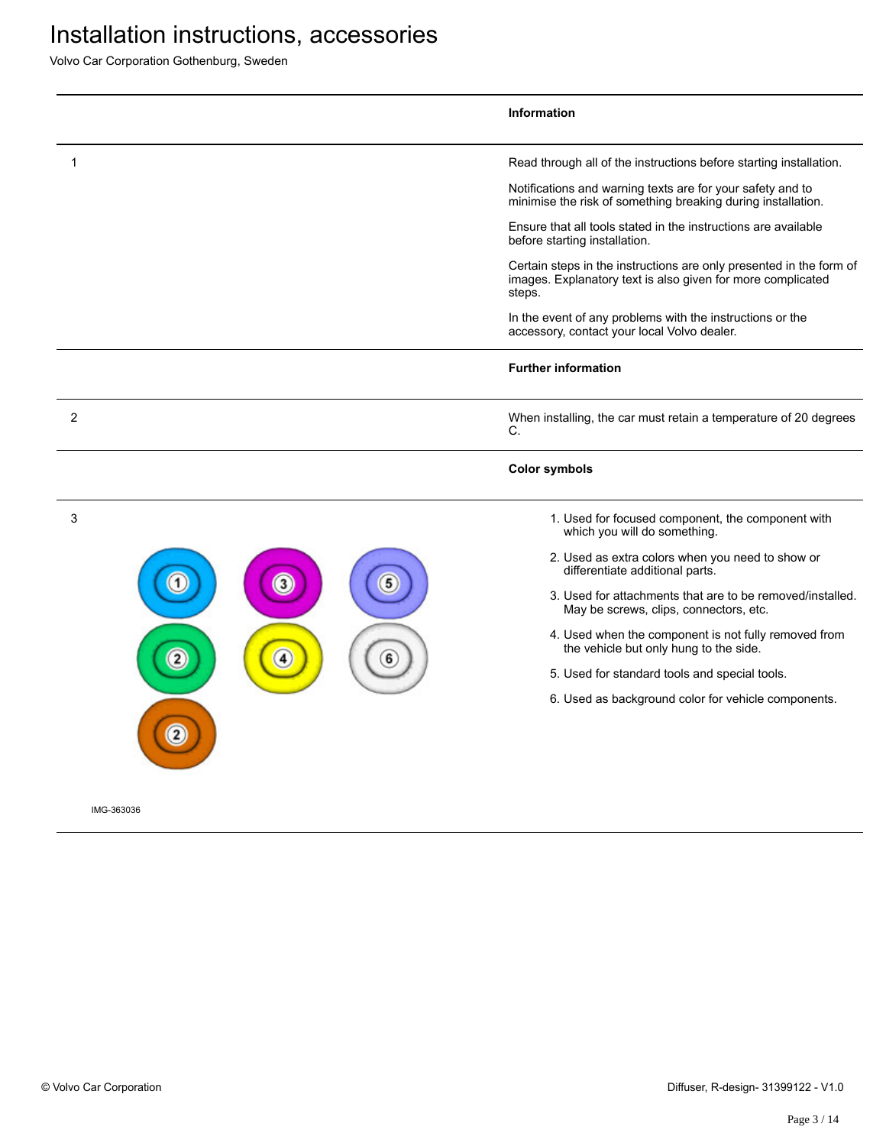Volvo Car Corporation Gothenburg, Sweden

|                        | Information                                                                                                                                                                                                                                                                                                                                                                                                                                                                                                                                                                                   |
|------------------------|-----------------------------------------------------------------------------------------------------------------------------------------------------------------------------------------------------------------------------------------------------------------------------------------------------------------------------------------------------------------------------------------------------------------------------------------------------------------------------------------------------------------------------------------------------------------------------------------------|
| 1                      | Read through all of the instructions before starting installation.<br>Notifications and warning texts are for your safety and to<br>minimise the risk of something breaking during installation.<br>Ensure that all tools stated in the instructions are available<br>before starting installation.<br>Certain steps in the instructions are only presented in the form of<br>images. Explanatory text is also given for more complicated<br>steps.<br>In the event of any problems with the instructions or the<br>accessory, contact your local Volvo dealer.<br><b>Further information</b> |
| 2                      | When installing, the car must retain a temperature of 20 degrees<br>C.<br><b>Color symbols</b>                                                                                                                                                                                                                                                                                                                                                                                                                                                                                                |
| 3<br>$\mathbf{3}$<br>4 | 1. Used for focused component, the component with<br>which you will do something.<br>2. Used as extra colors when you need to show or<br>differentiate additional parts.<br>3. Used for attachments that are to be removed/installed.<br>May be screws, clips, connectors, etc.<br>4. Used when the component is not fully removed from<br>the vehicle but only hung to the side.<br>5. Used for standard tools and special tools.<br>6. Used as background color for vehicle components.                                                                                                     |
| IMG-363036             |                                                                                                                                                                                                                                                                                                                                                                                                                                                                                                                                                                                               |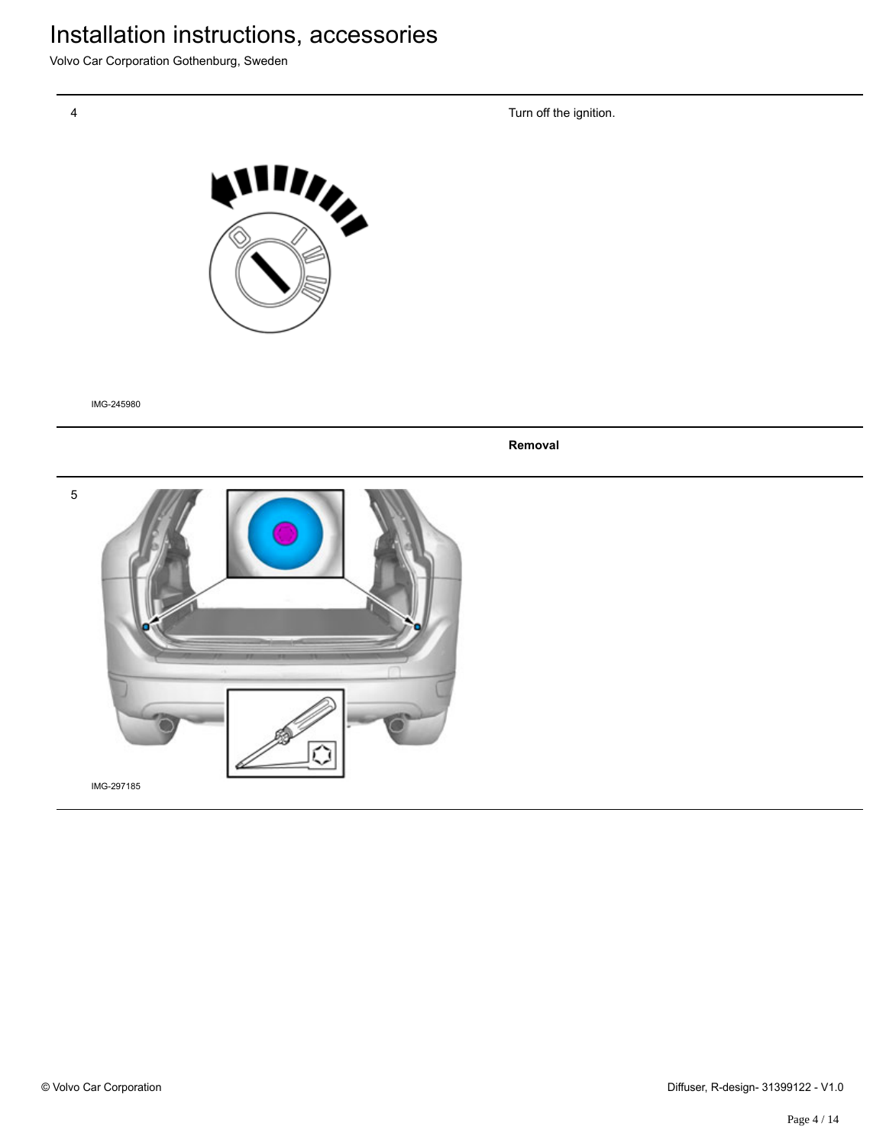Volvo Car Corporation Gothenburg, Sweden

Turn off the ignition.



IMG-245980

**Removal**

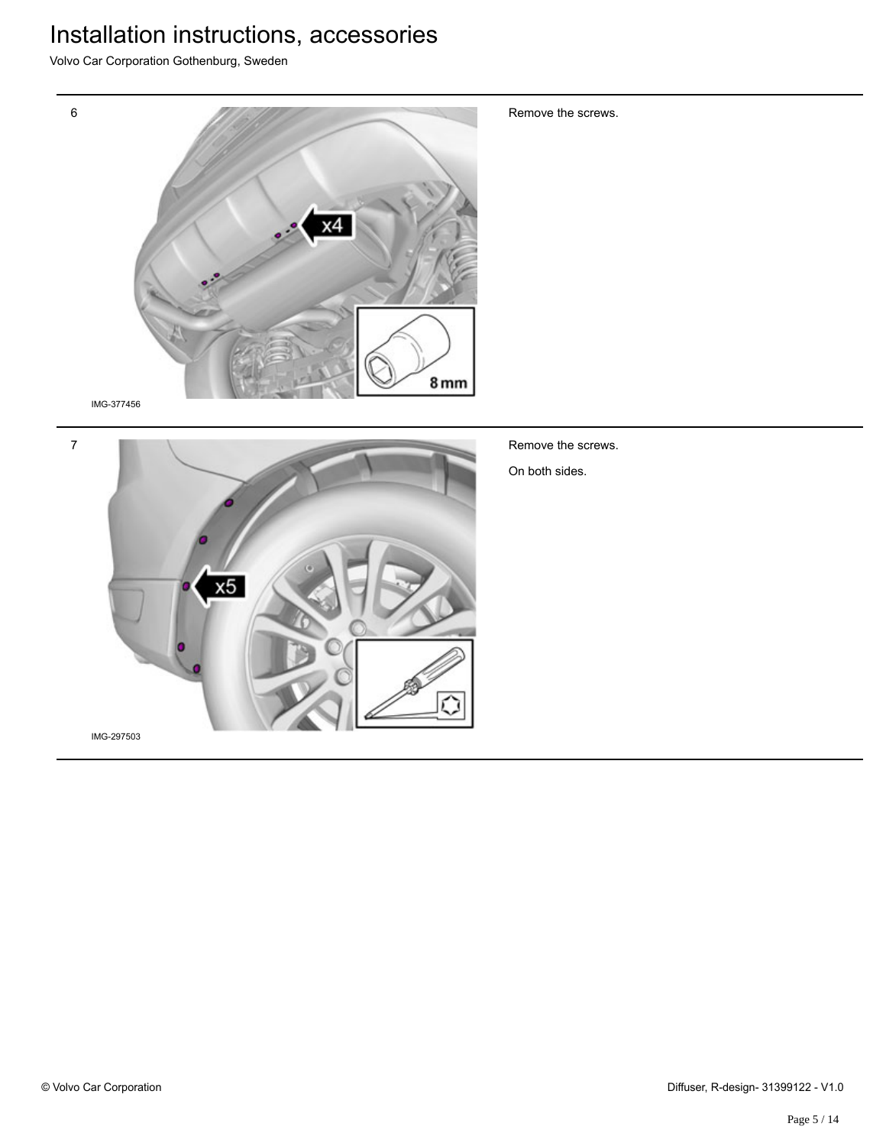Volvo Car Corporation Gothenburg, Sweden





Remove the screws.

On both sides.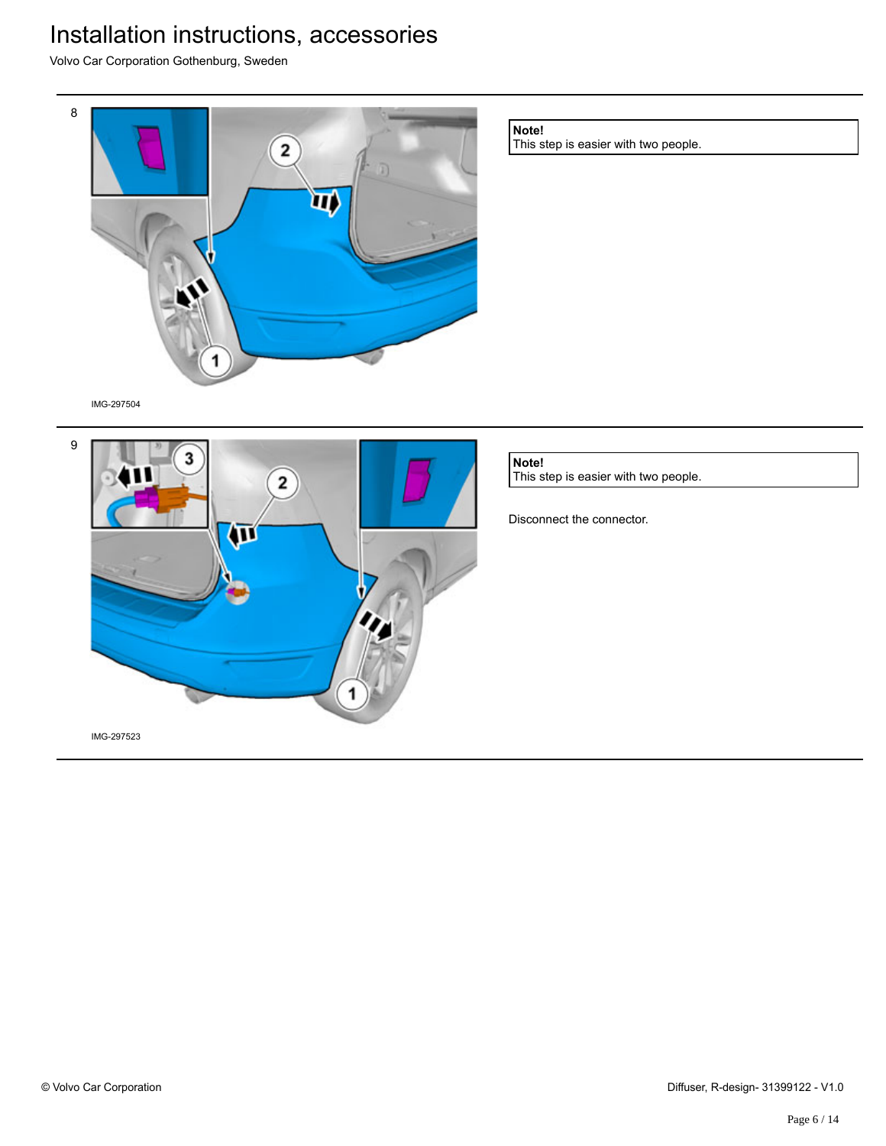$\pi$ 

Volvo Car Corporation Gothenburg, Sweden



Disconnect the connector.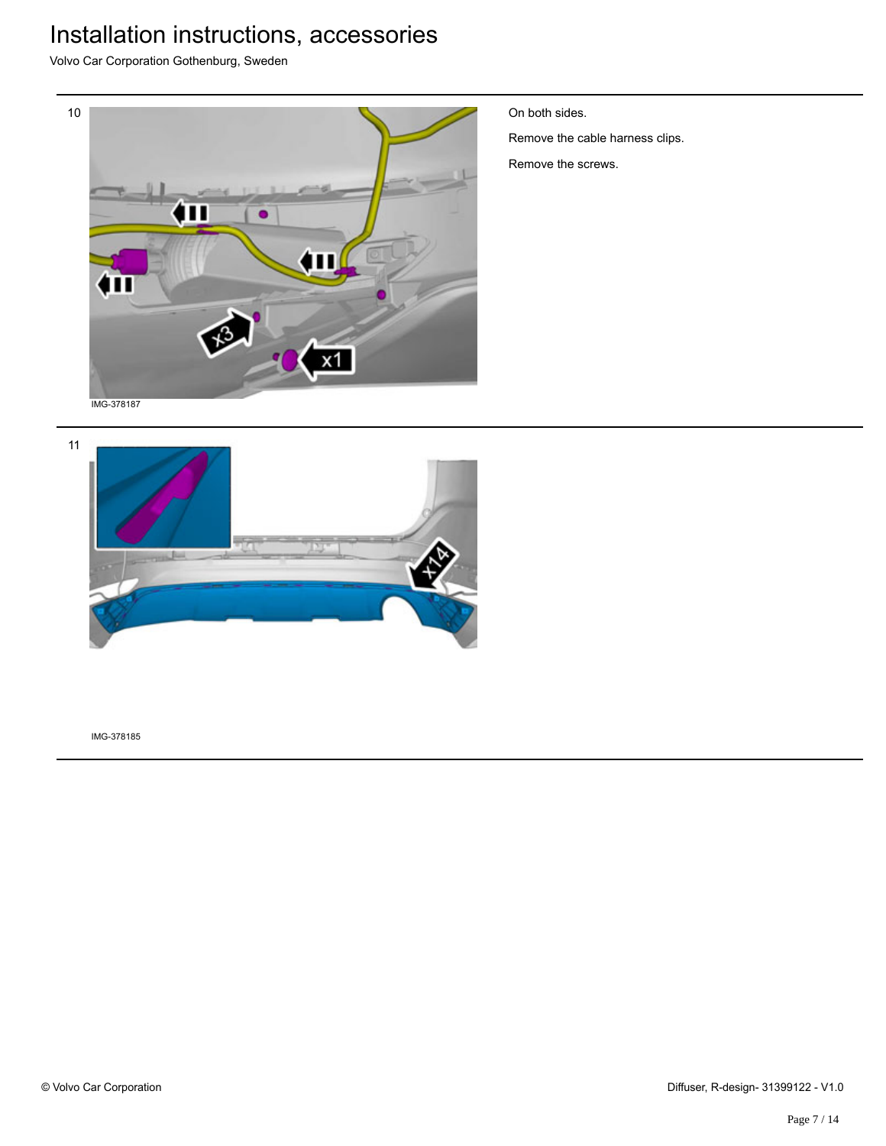Volvo Car Corporation Gothenburg, Sweden



On both sides.

Remove the cable harness clips.

Remove the screws.

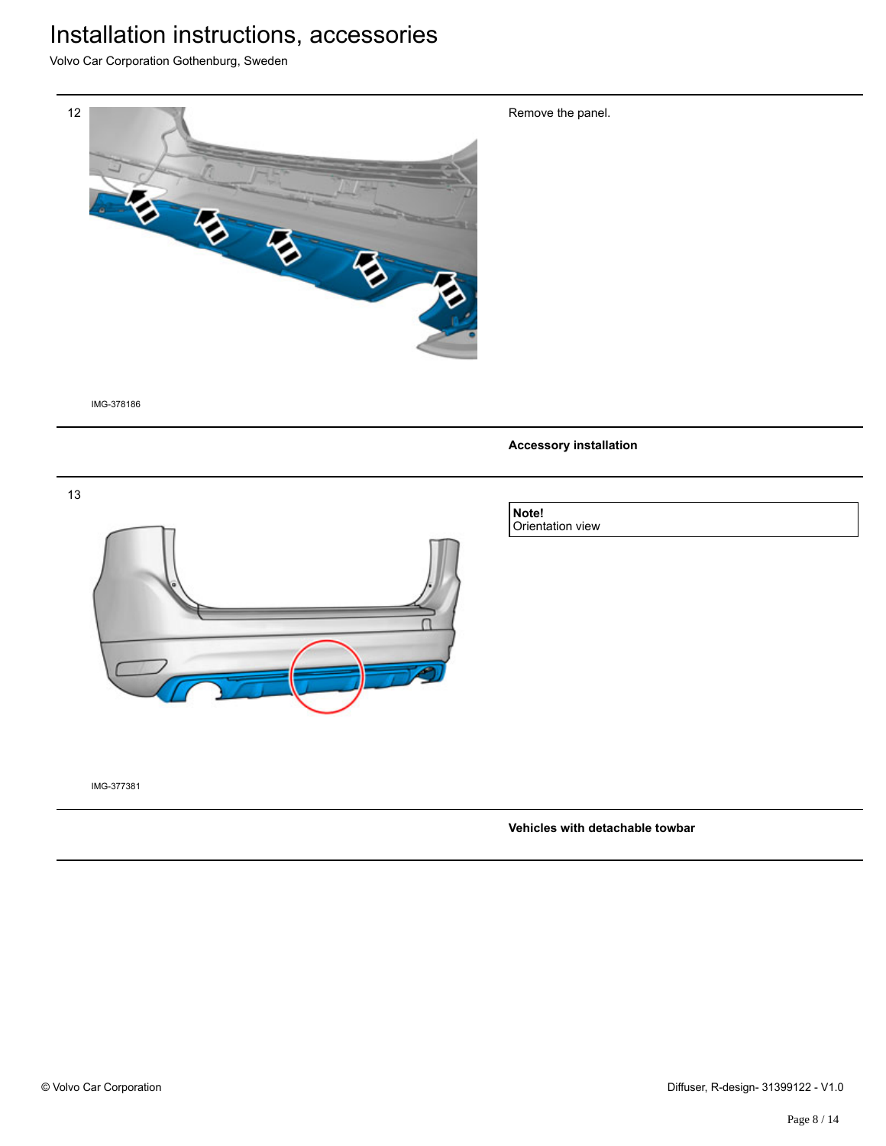Volvo Car Corporation Gothenburg, Sweden



IMG-378186

**Accessory installation**

Remove the panel.



IMG-377381

#### **Vehicles with detachable towbar**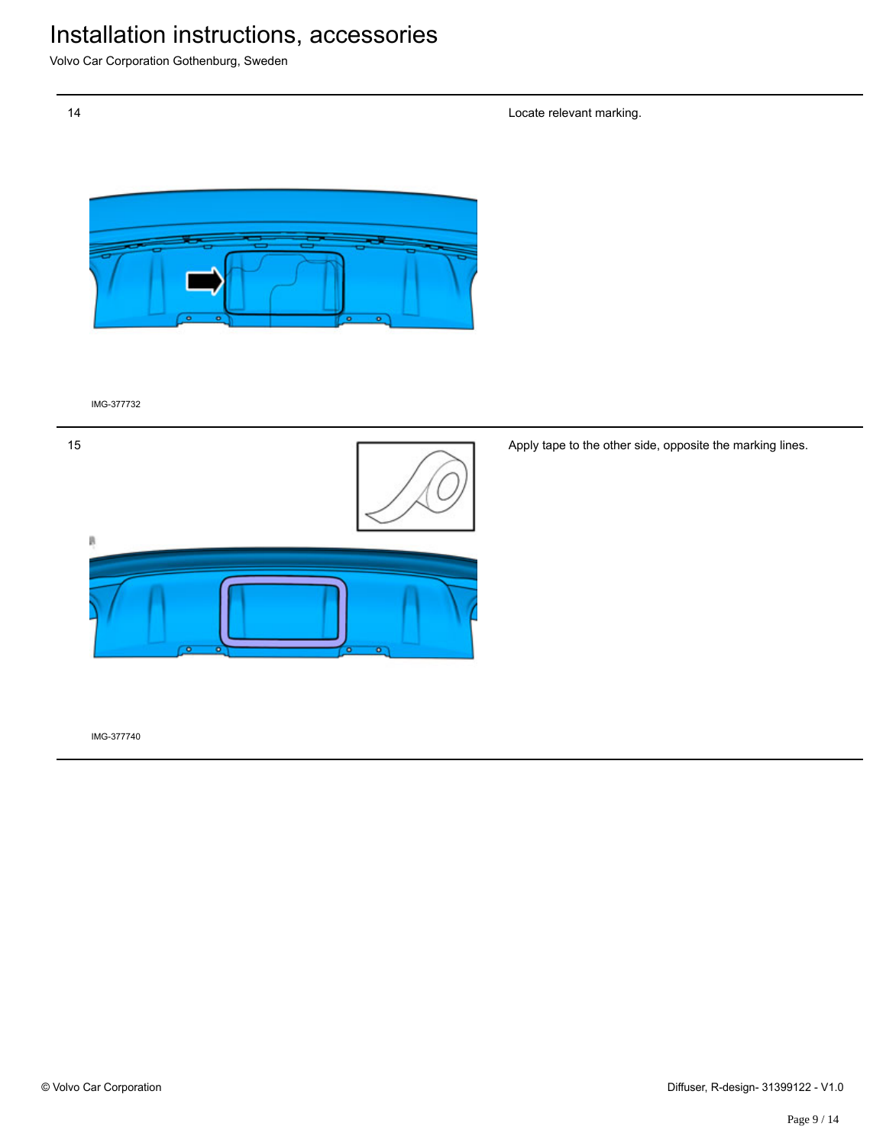Volvo Car Corporation Gothenburg, Sweden

Locate relevant marking.



IMG-377732



Apply tape to the other side, opposite the marking lines.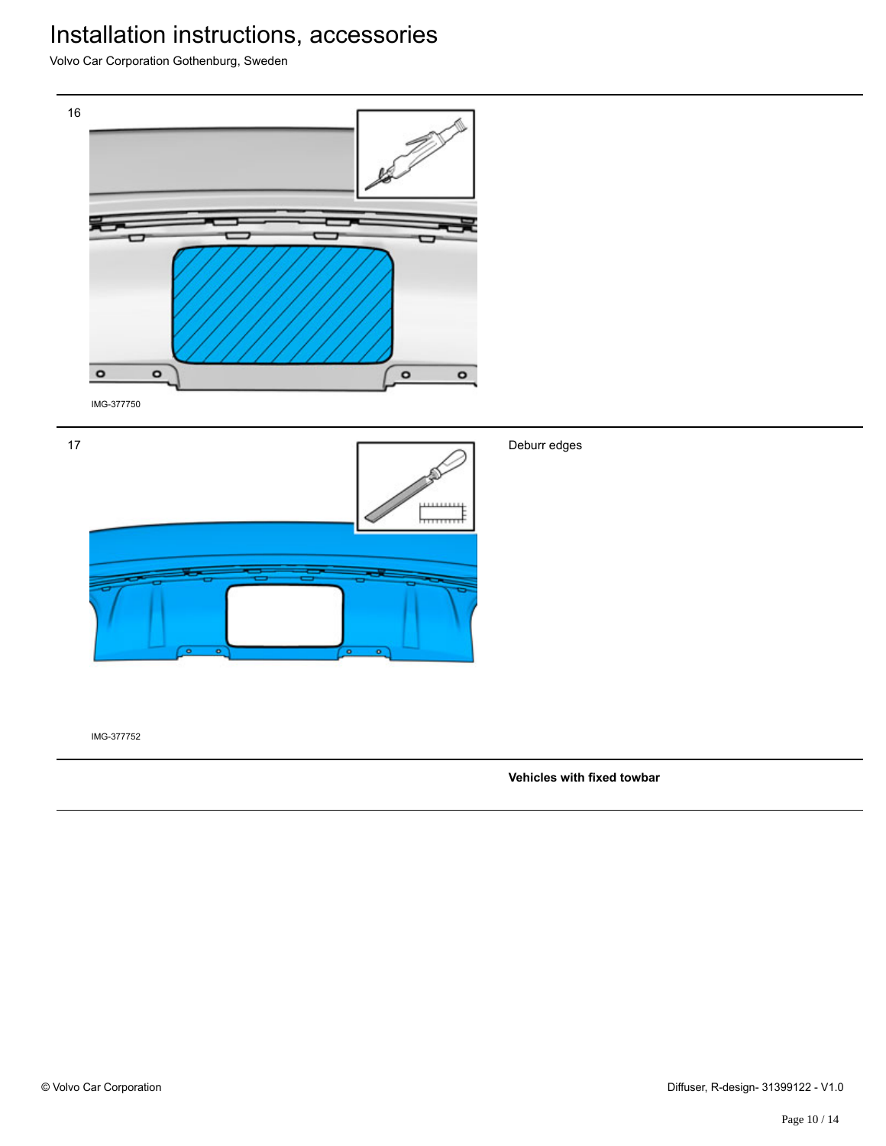Volvo Car Corporation Gothenburg, Sweden



IMG-377752

**Vehicles with fixed towbar**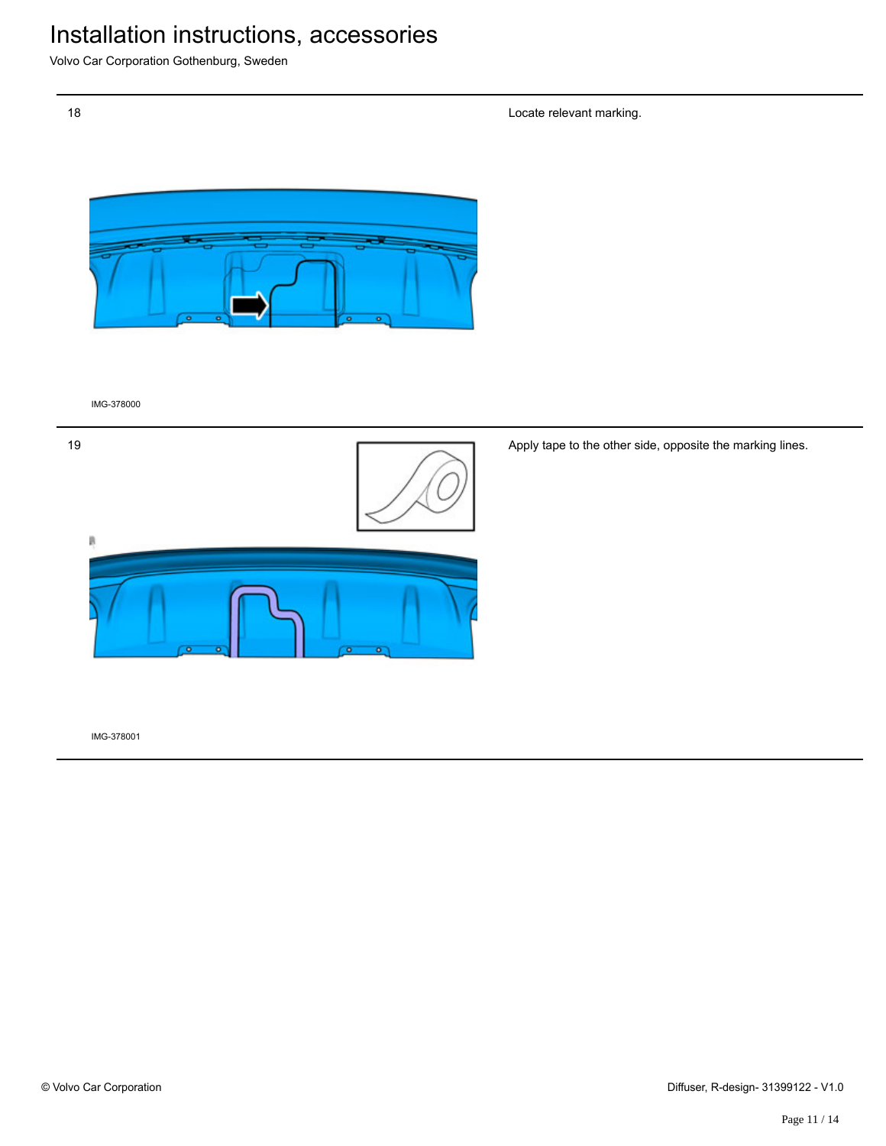Volvo Car Corporation Gothenburg, Sweden

Locate relevant marking.



IMG-378000



Apply tape to the other side, opposite the marking lines.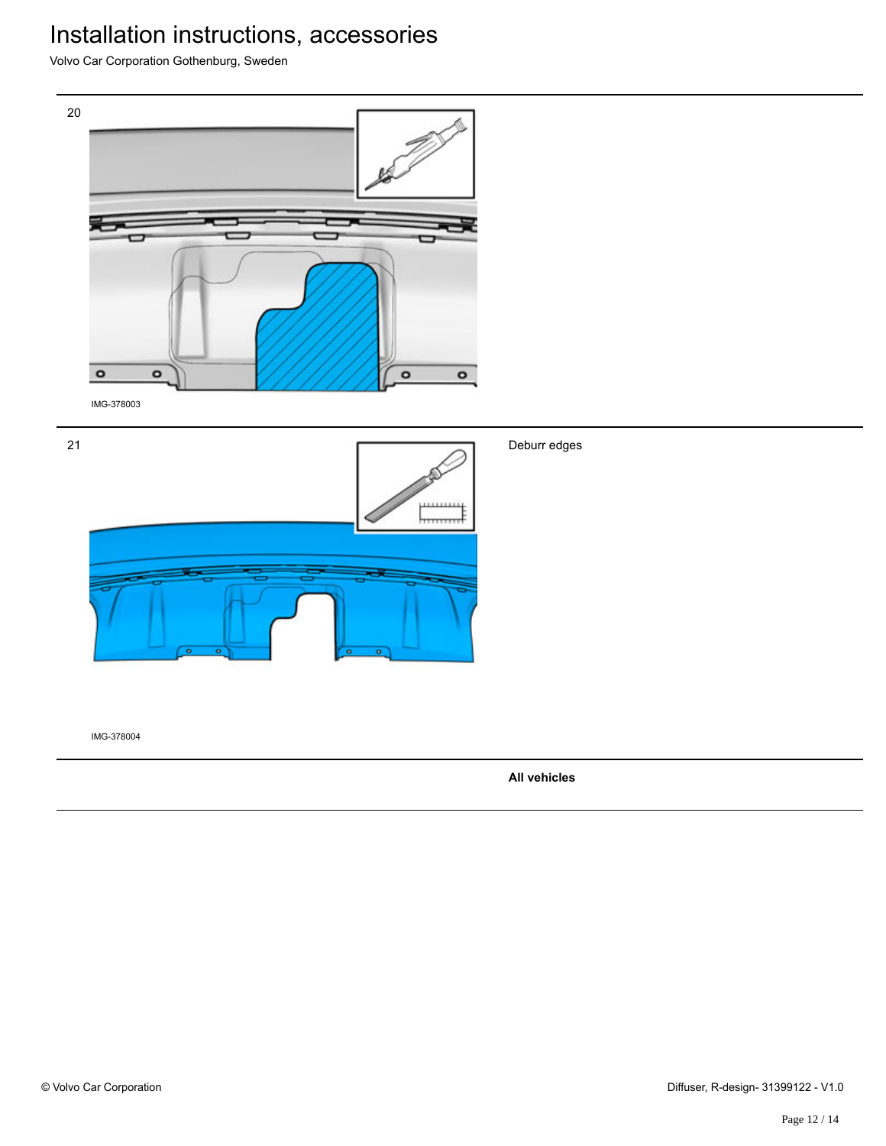Volvo Car Corporation Gothenburg, Sweden



**All vehicles**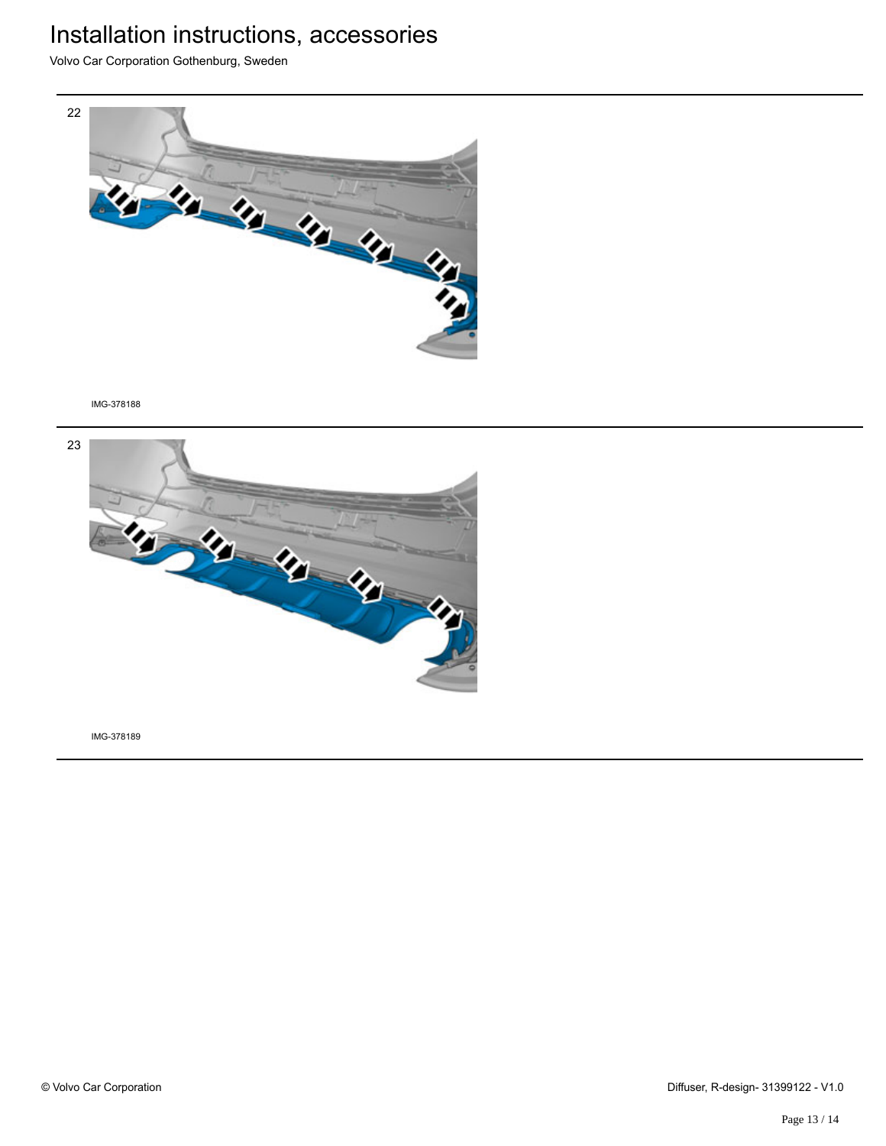Volvo Car Corporation Gothenburg, Sweden



IMG-378188